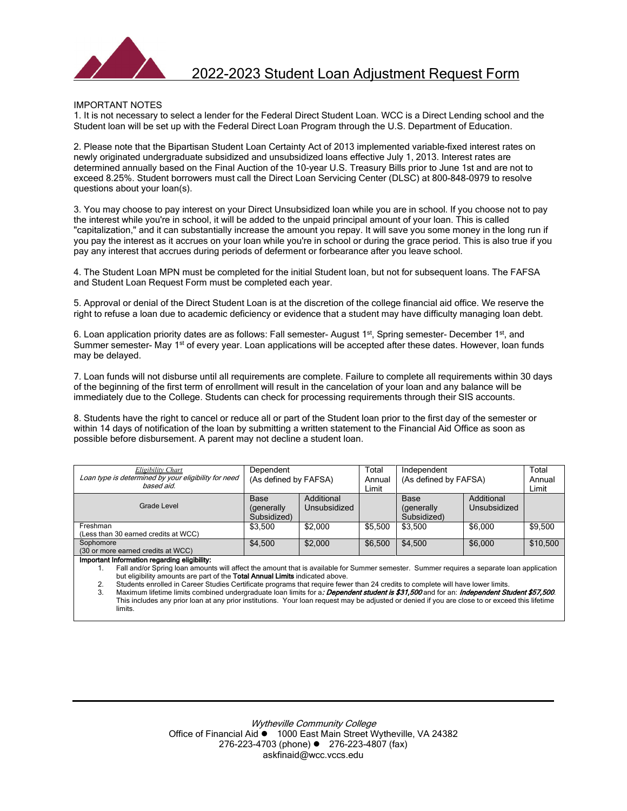

## IMPORTANT NOTES

1. It is not necessary to select a lender for the Federal Direct Student Loan. WCC is a Direct Lending school and the Student loan will be set up with the Federal Direct Loan Program through the U.S. Department of Education.

2. Please note that the Bipartisan Student Loan Certainty Act of 2013 implemented variable-fixed interest rates on newly originated undergraduate subsidized and unsubsidized loans effective July 1, 2013. Interest rates are determined annually based on the Final Auction of the 10-year U.S. Treasury Bills prior to June 1st and are not to exceed 8.25%. Student borrowers must call the Direct Loan Servicing Center (DLSC) at 800-848-0979 to resolve questions about your loan(s).

3. You may choose to pay interest on your Direct Unsubsidized loan while you are in school. If you choose not to pay the interest while you're in school, it will be added to the unpaid principal amount of your loan. This is called "capitalization," and it can substantially increase the amount you repay. It will save you some money in the long run if you pay the interest as it accrues on your loan while you're in school or during the grace period. This is also true if you pay any interest that accrues during periods of deferment or forbearance after you leave school.

4. The Student Loan MPN must be completed for the initial Student loan, but not for subsequent loans. The FAFSA and Student Loan Request Form must be completed each year.

5. Approval or denial of the Direct Student Loan is at the discretion of the college financial aid office. We reserve the right to refuse a loan due to academic deficiency or evidence that a student may have difficulty managing loan debt.

6. Loan application priority dates are as follows: Fall semester- August 1<sup>st</sup>, Spring semester- December 1<sup>st</sup>, and Summer semester- May 1<sup>st</sup> of every year. Loan applications will be accepted after these dates. However, loan funds may be delayed.

7. Loan funds will not disburse until all requirements are complete. Failure to complete all requirements within 30 days of the beginning of the first term of enrollment will result in the cancelation of your loan and any balance will be immediately due to the College. Students can check for processing requirements through their SIS accounts.

8. Students have the right to cancel or reduce all or part of the Student loan prior to the first day of the semester or within 14 days of notification of the loan by submitting a written statement to the Financial Aid Office as soon as possible before disbursement. A parent may not decline a student loan.

| Eligibility Chart                                    | Dependent<br>(As defined by FAFSA) |              | Total   | Independent<br>(As defined by FAFSA) |              | Total    |
|------------------------------------------------------|------------------------------------|--------------|---------|--------------------------------------|--------------|----------|
| Loan type is determined by your eligibility for need |                                    |              | Annual  |                                      |              | Annual   |
| based aid.                                           |                                    |              | Limit   |                                      |              | Limit    |
|                                                      | Base                               | Additional   |         | <b>Base</b>                          | Additional   |          |
| Grade Level                                          | (generally)                        | Unsubsidized |         | (generally)                          | Unsubsidized |          |
|                                                      | Subsidized)                        |              |         | Subsidized)                          |              |          |
| Freshman                                             | \$3.500                            | \$2,000      | \$5.500 | \$3.500                              | \$6.000      | \$9.500  |
| (Less than 30 earned credits at WCC)                 |                                    |              |         |                                      |              |          |
| Sophomore                                            | \$4.500                            | \$2,000      | \$6.500 | \$4.500                              | \$6,000      | \$10,500 |
| (30 or more earned credits at WCC)                   |                                    |              |         |                                      |              |          |
| Important Information regarding eligibility          |                                    |              |         |                                      |              |          |

**Important Information regarding eligibility:**<br>1. Fall and/or Spring loan amounts will affect the amount that is available for Summer semester. Summer requires a separate loan application but eligibility amounts are part of the Total Annual Limits indicated above.

Students enrolled in Career Studies Certificate programs that require fewer than 24 credits to complete will have lower limits.

Maximum lifetime limits combined undergraduate loan limits for a: Dependent student is \$31,500 and for an: Independent Student \$57,500. This includes any prior loan at any prior institutions. Your loan request may be adjusted or denied if you are close to or exceed this lifetime limits.